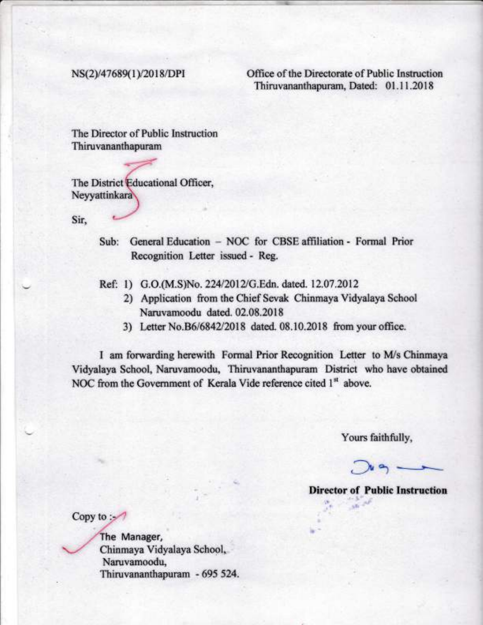NS(2)/47689(1)/2018/DPI Office of the Directorate of Public Instruction Thiruvananthapuram, Dated: 01.1 1.2018

The Director of Public Instruction Thiruvananthapuram

The District Educational Officer, **Neyyattinkara** 

Sir,

- Sub: General Education NOC for CBSE affiliation Formal Prior Recognition Letter issued - Reg.
- Ref: 1) G.O.(M.S)No. 224/2012/G.Edn. dated. 12.07.2012
	- 2) Application from the Chief Sevak Chinmaya Vidyalaya School Naruvamoodu dated. 02.08.2018
	- 3) Letter No.B6/6842/2018 dated. 08.10.2018 from your office.

I am forwarding herewith Formal Prior Recognition Letter to M/s Chinmaya Vidyalaya School, Naruvamoodu, Thiruvananthapuram District who have obtained NOC from the Government of Kerala Vide reference cited 1<sup>st</sup> above.

Yours faithfully,

 $\int u \phi$ .

Director of Public lnstruction

Copy to  $\mathcal{L}$ 

The Manager, Chinmaya Vidyalaya School, Naruvamoodu, Thiruvananthapuram - 695 524.